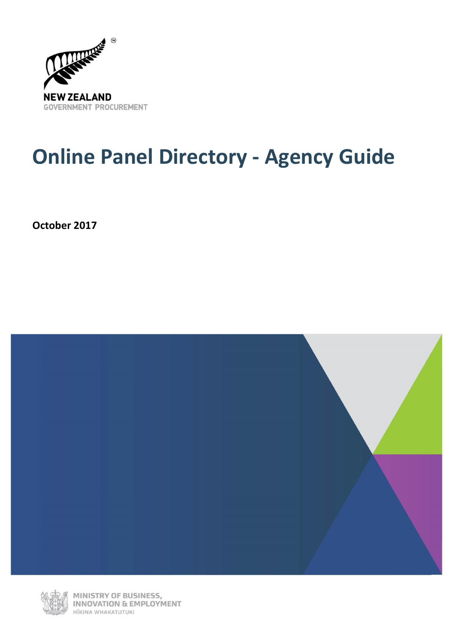

## **Online Panel Directory - Agency Guide**

**October 2017**





MINISTRY OF BUSINESS,<br>INNOVATION & EMPLOYMENT HĪKINA WHAKATUTUKI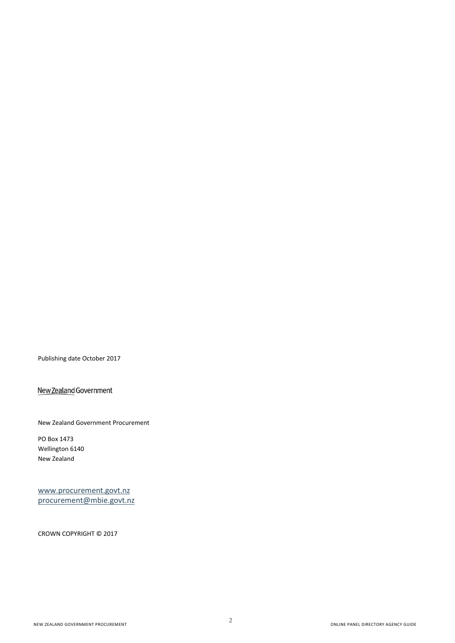Publishing date October 2017

New Zealand Government

New Zealand Government Procurement

PO Box 1473 Wellington 6140 New Zealand

[www.procurement.govt.nz](http://www.procurement.govt.nz/) [procurement@mbie.govt.nz](mailto:procurement@mbie.govt.nz)

CROWN COPYRIGHT © 2017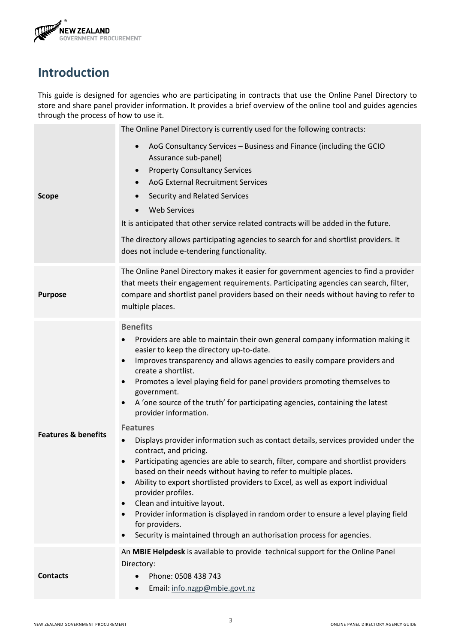

## **Introduction**

This guide is designed for agencies who are participating in contracts that use the Online Panel Directory to store and share panel provider information. It provides a brief overview of the online tool and guides agencies through the process of how to use it.

| <b>Scope</b>                   | The Online Panel Directory is currently used for the following contracts:<br>AoG Consultancy Services - Business and Finance (including the GCIO<br>$\bullet$<br>Assurance sub-panel)<br><b>Property Consultancy Services</b><br>$\bullet$<br>AoG External Recruitment Services<br>$\bullet$<br>Security and Related Services<br><b>Web Services</b><br>$\bullet$<br>It is anticipated that other service related contracts will be added in the future.<br>The directory allows participating agencies to search for and shortlist providers. It<br>does not include e-tendering functionality.                                                                                                                                                                                                                                                                                                                                                                                                                                                                                                                                                                                                               |
|--------------------------------|----------------------------------------------------------------------------------------------------------------------------------------------------------------------------------------------------------------------------------------------------------------------------------------------------------------------------------------------------------------------------------------------------------------------------------------------------------------------------------------------------------------------------------------------------------------------------------------------------------------------------------------------------------------------------------------------------------------------------------------------------------------------------------------------------------------------------------------------------------------------------------------------------------------------------------------------------------------------------------------------------------------------------------------------------------------------------------------------------------------------------------------------------------------------------------------------------------------|
| <b>Purpose</b>                 | The Online Panel Directory makes it easier for government agencies to find a provider<br>that meets their engagement requirements. Participating agencies can search, filter,<br>compare and shortlist panel providers based on their needs without having to refer to<br>multiple places.                                                                                                                                                                                                                                                                                                                                                                                                                                                                                                                                                                                                                                                                                                                                                                                                                                                                                                                     |
| <b>Features &amp; benefits</b> | <b>Benefits</b><br>Providers are able to maintain their own general company information making it<br>$\bullet$<br>easier to keep the directory up-to-date.<br>Improves transparency and allows agencies to easily compare providers and<br>$\bullet$<br>create a shortlist.<br>Promotes a level playing field for panel providers promoting themselves to<br>$\bullet$<br>government.<br>A 'one source of the truth' for participating agencies, containing the latest<br>$\bullet$<br>provider information.<br><b>Features</b><br>Displays provider information such as contact details, services provided under the<br>$\bullet$<br>contract, and pricing.<br>Participating agencies are able to search, filter, compare and shortlist providers<br>$\bullet$<br>based on their needs without having to refer to multiple places.<br>Ability to export shortlisted providers to Excel, as well as export individual<br>$\bullet$<br>provider profiles.<br>Clean and intuitive layout.<br>$\bullet$<br>Provider information is displayed in random order to ensure a level playing field<br>$\bullet$<br>for providers.<br>Security is maintained through an authorisation process for agencies.<br>$\bullet$ |
| <b>Contacts</b>                | An MBIE Helpdesk is available to provide technical support for the Online Panel<br>Directory:<br>Phone: 0508 438 743<br>Email: info.nzgp@mbie.govt.nz                                                                                                                                                                                                                                                                                                                                                                                                                                                                                                                                                                                                                                                                                                                                                                                                                                                                                                                                                                                                                                                          |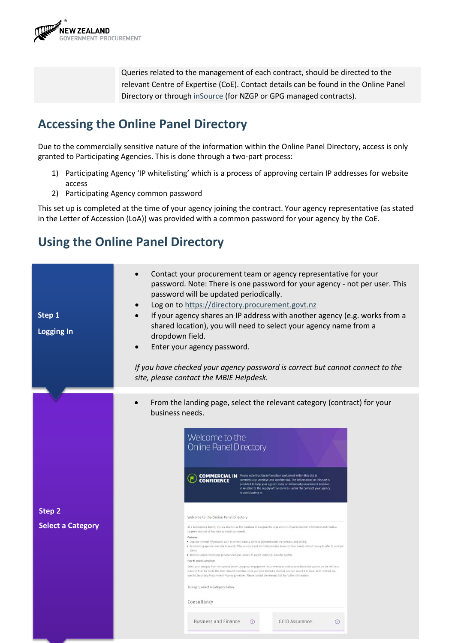

Queries related to the management of each contract, should be directed to the relevant Centre of Expertise (CoE). Contact details can be found in the Online Panel Directory or through [inSource](https://www.procurement.govt.nz/procurement/all-of-government-contracts/govproc-eportal/securearea-login) (for NZGP or GPG managed contracts).

## **Accessing the Online Panel Directory**

Due to the commercially sensitive nature of the information within the Online Panel Directory, access is only granted to Participating Agencies. This is done through a two-part process:

- 1) Participating Agency 'IP whitelisting' which is a process of approving certain IP addresses for website access
- 2) Participating Agency common password

This set up is completed at the time of your agency joining the contract. Your agency representative (as stated in the Letter of Accession (LoA)) was provided with a common password for your agency by the CoE.

## **Using the Online Panel Directory**

| Step 1<br><b>Logging In</b>               | Contact your procurement team or agency representative for your<br>password. Note: There is one password for your agency - not per user. This<br>password will be updated periodically.<br>Log on to https://directory.procurement.govt.nz<br>If your agency shares an IP address with another agency (e.g. works from a<br>shared location), you will need to select your agency name from a<br>dropdown field.<br>Enter your agency password.<br>If you have checked your agency password is correct but cannot connect to the<br>site, please contact the MBIE Helpdesk.                                                                                                                                                                                                                                                                                                                                                                                                                                                                                                                                                                                                                                                                                                                                                                                                                                                                                                                                                                                                                                                                  |  |  |  |  |  |  |  |
|-------------------------------------------|----------------------------------------------------------------------------------------------------------------------------------------------------------------------------------------------------------------------------------------------------------------------------------------------------------------------------------------------------------------------------------------------------------------------------------------------------------------------------------------------------------------------------------------------------------------------------------------------------------------------------------------------------------------------------------------------------------------------------------------------------------------------------------------------------------------------------------------------------------------------------------------------------------------------------------------------------------------------------------------------------------------------------------------------------------------------------------------------------------------------------------------------------------------------------------------------------------------------------------------------------------------------------------------------------------------------------------------------------------------------------------------------------------------------------------------------------------------------------------------------------------------------------------------------------------------------------------------------------------------------------------------------|--|--|--|--|--|--|--|
|                                           | From the landing page, select the relevant category (contract) for your                                                                                                                                                                                                                                                                                                                                                                                                                                                                                                                                                                                                                                                                                                                                                                                                                                                                                                                                                                                                                                                                                                                                                                                                                                                                                                                                                                                                                                                                                                                                                                      |  |  |  |  |  |  |  |
| <b>Step 2</b><br><b>Select a Category</b> | business needs.<br>Welcome to the<br><b>Online Panel Directory</b><br><b>COMMERCIAL IN</b> Please note that the information contained within this site is<br>commercially sensitive and confidential. The information on this site is<br><b>CONFIDENCE</b><br>provided to help your agency make an informed procurement decision<br>in relation to the supply of the services under the contract your agency<br>is participating in.<br>Welcome to the Online Panel Directory<br>As a Participating Agency, you are able to use this database to navigate the large amount of partel provider information and create a<br>terpried shortlist of Providers to match your needs.<br>Features<br>. Displays provider information such as contact details, services provided under the contract, and pricing.<br>. Participating agencies are able to search, filter, compane and shortlist providers based on their needs without having to refer to multiple<br>places.<br>. Ability to export shortlisted providers to Excel, as well as export individual provider profiles<br>How to select a provider<br>Select your category from the options below, Using your engagement requirements as criteria, select from the options on the left hand<br>menu to filter the list to the most relevant providers. Once you have formed a shortlist, you can export it to loce! Each contract has<br>specific Secondary Procurement Process guidelines. Please contact the relevant CoS for further information.<br>To begin, select a Category below.<br>Consultancy<br><b>Business and Finance</b><br><b>GCIO Assurance</b><br>$\odot$<br>$\odot$ |  |  |  |  |  |  |  |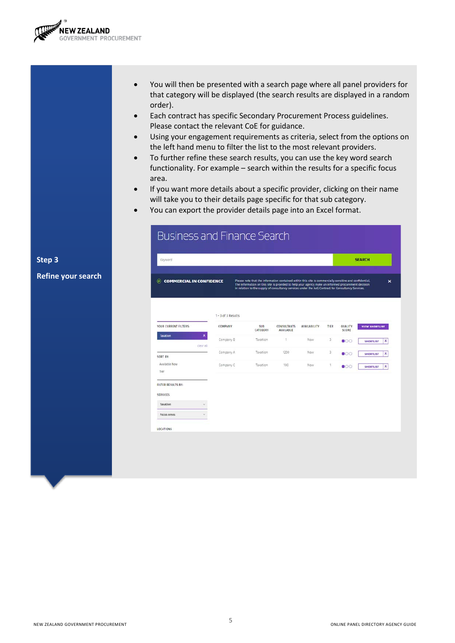

**Step 3** 

**Refine your search**

- You will then be presented with a search page where all panel providers for that category will be displayed (the search results are displayed in a random order).
- Each contract has specific Secondary Procurement Process guidelines. Please contact the relevant CoE for guidance.
- Using your engagement requirements as criteria, select from the options on the left hand menu to filter the list to the most relevant providers.
- To further refine these search results, you can use the key word search functionality. For example – search within the results for a specific focus area.
- If you want more details about a specific provider, clicking on their name will take you to their details page specific for that sub category.
- You can export the provider details page into an Excel format.

| Keyword                                                         |                    |                                                                                                                                                                                                                                                                                                                     |                                 |              |                |                  |
|-----------------------------------------------------------------|--------------------|---------------------------------------------------------------------------------------------------------------------------------------------------------------------------------------------------------------------------------------------------------------------------------------------------------------------|---------------------------------|--------------|----------------|------------------|
| <b>COMMERCIAL IN CONFIDENCE</b><br>$\left( \mathbf{F}\right)$ . |                    | Please note that the information contained within this site is commercially sensitive and confidential.<br>The information on this site is provided to help your agency make an informed procurement decision<br>in relation to the supply of consultancy services under the AoG Contract for Consultancy Services. |                                 |              |                |                  |
|                                                                 | 1 - 3 of 3 Results |                                                                                                                                                                                                                                                                                                                     |                                 |              |                |                  |
| YOUR CURRENT FILTERS:                                           | COMPANY            | <b>SUB</b><br>CATEGORY                                                                                                                                                                                                                                                                                              | <b>CONSULTANTS</b><br>AVAILABLE | AVAILABILITY | TIER           | QUALITY<br>SCORE |
| $\boldsymbol{\mathsf{x}}$<br><b>Taxation</b>                    | Company B          | Taxation.                                                                                                                                                                                                                                                                                                           | 1                               | Now-         | 3.             | $\bullet$ 00     |
| clear all.                                                      | Company A          | Taxation                                                                                                                                                                                                                                                                                                            | 1200                            | Now:         | $\overline{3}$ | $\bullet$        |
| SORT BY:<br>Available Now<br>Tier                               | Company C          | Taxation                                                                                                                                                                                                                                                                                                            | 100                             | Now          | T.             | $\bullet$        |
| FILTER RESULTS BY:                                              |                    |                                                                                                                                                                                                                                                                                                                     |                                 |              |                |                  |
| <b>SERVICES</b><br>Taxation                                     |                    |                                                                                                                                                                                                                                                                                                                     |                                 |              |                |                  |
| Focus areas                                                     |                    |                                                                                                                                                                                                                                                                                                                     |                                 |              |                |                  |
|                                                                 |                    |                                                                                                                                                                                                                                                                                                                     |                                 |              |                |                  |